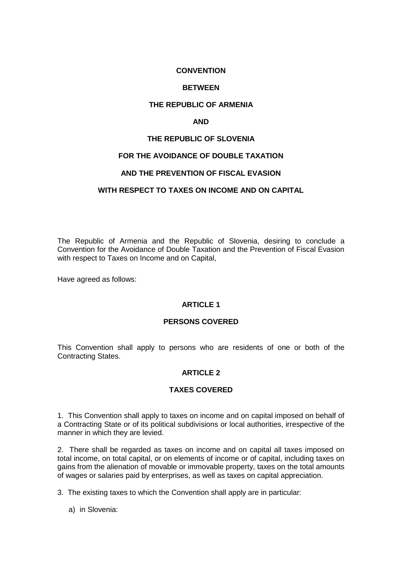#### **CONVENTION**

### **BETWEEN**

### **THE REPUBLIC OF ARMENIA**

# **AND**

### **THE REPUBLIC OF SLOVENIA**

# **FOR THE AVOIDANCE OF DOUBLE TAXATION**

#### **AND THE PREVENTION OF FISCAL EVASION**

# **WITH RESPECT TO TAXES ON INCOME AND ON CAPITAL**

The Republic of Armenia and the Republic of Slovenia, desiring to conclude a Convention for the Avoidance of Double Taxation and the Prevention of Fiscal Evasion with respect to Taxes on Income and on Capital,

Have agreed as follows:

# **ARTICLE 1**

### **PERSONS COVERED**

This Convention shall apply to persons who are residents of one or both of the Contracting States.

# **ARTICLE 2**

# **TAXES COVERED**

1. This Convention shall apply to taxes on income and on capital imposed on behalf of a Contracting State or of its political subdivisions or local authorities, irrespective of the manner in which they are levied.

2. There shall be regarded as taxes on income and on capital all taxes imposed on total income, on total capital, or on elements of income or of capital, including taxes on gains from the alienation of movable or immovable property, taxes on the total amounts of wages or salaries paid by enterprises, as well as taxes on capital appreciation.

3. The existing taxes to which the Convention shall apply are in particular:

a) in Slovenia: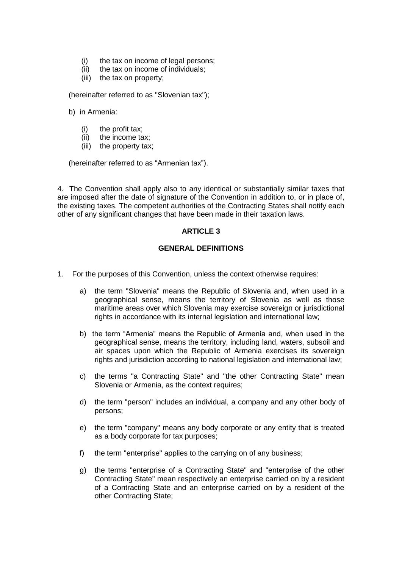- (i) the tax on income of legal persons;
- (ii) the tax on income of individuals;
- (iii) the tax on property;

(hereinafter referred to as "Slovenian tax");

- b) in Armenia:
	- (i) the profit tax;
	- (ii) the income tax;
	- (iii) the property tax;

(hereinafter referred to as "Armenian tax").

4. The Convention shall apply also to any identical or substantially similar taxes that are imposed after the date of signature of the Convention in addition to, or in place of, the existing taxes. The competent authorities of the Contracting States shall notify each other of any significant changes that have been made in their taxation laws.

#### **ARTICLE 3**

#### **GENERAL DEFINITIONS**

- 1. For the purposes of this Convention, unless the context otherwise requires:
	- a) the term "Slovenia" means the Republic of Slovenia and, when used in a geographical sense, means the territory of Slovenia as well as those maritime areas over which Slovenia may exercise sovereign or jurisdictional rights in accordance with its internal legislation and international law;
	- b) the term "Armenia" means the Republic of Armenia and, when used in the geographical sense, means the territory, including land, waters, subsoil and air spaces upon which the Republic of Armenia exercises its sovereign rights and jurisdiction according to national legislation and international law;
	- c) the terms "a Contracting State" and "the other Contracting State" mean Slovenia or Armenia, as the context requires;
	- d) the term "person" includes an individual, a company and any other body of persons;
	- e) the term "company" means any body corporate or any entity that is treated as a body corporate for tax purposes;
	- f) the term "enterprise" applies to the carrying on of any business;
	- g) the terms "enterprise of a Contracting State" and "enterprise of the other Contracting State" mean respectively an enterprise carried on by a resident of a Contracting State and an enterprise carried on by a resident of the other Contracting State;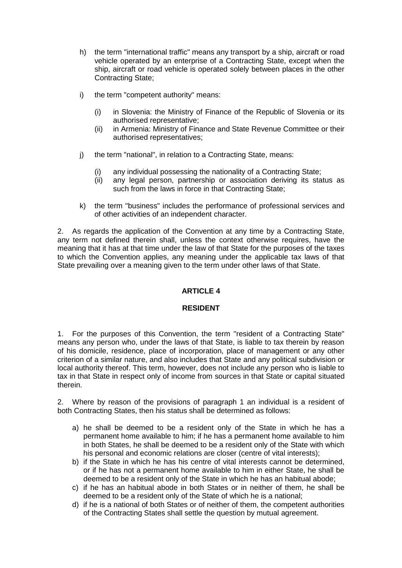- h) the term "international traffic" means any transport by a ship, aircraft or road vehicle operated by an enterprise of a Contracting State, except when the ship, aircraft or road vehicle is operated solely between places in the other Contracting State;
- i) the term "competent authority" means:
	- (i) in Slovenia: the Ministry of Finance of the Republic of Slovenia or its authorised representative;
	- (ii) in Armenia: Ministry of Finance and State Revenue Committee or their authorised representatives;
- j) the term "national", in relation to a Contracting State, means:
	- (i) any individual possessing the nationality of a Contracting State;
	- (ii) any legal person, partnership or association deriving its status as such from the laws in force in that Contracting State;
- k) the term "business" includes the performance of professional services and of other activities of an independent character.

2. As regards the application of the Convention at any time by a Contracting State, any term not defined therein shall, unless the context otherwise requires, have the meaning that it has at that time under the law of that State for the purposes of the taxes to which the Convention applies, any meaning under the applicable tax laws of that State prevailing over a meaning given to the term under other laws of that State.

# **ARTICLE 4**

# **RESIDENT**

1. For the purposes of this Convention, the term "resident of a Contracting State" means any person who, under the laws of that State, is liable to tax therein by reason of his domicile, residence, place of incorporation, place of management or any other criterion of a similar nature, and also includes that State and any political subdivision or local authority thereof. This term, however, does not include any person who is liable to tax in that State in respect only of income from sources in that State or capital situated therein.

2. Where by reason of the provisions of paragraph 1 an individual is a resident of both Contracting States, then his status shall be determined as follows:

- a) he shall be deemed to be a resident only of the State in which he has a permanent home available to him; if he has a permanent home available to him in both States, he shall be deemed to be a resident only of the State with which his personal and economic relations are closer (centre of vital interests);
- b) if the State in which he has his centre of vital interests cannot be determined, or if he has not a permanent home available to him in either State, he shall be deemed to be a resident only of the State in which he has an habitual abode;
- c) if he has an habitual abode in both States or in neither of them, he shall be deemed to be a resident only of the State of which he is a national;
- d) if he is a national of both States or of neither of them, the competent authorities of the Contracting States shall settle the question by mutual agreement.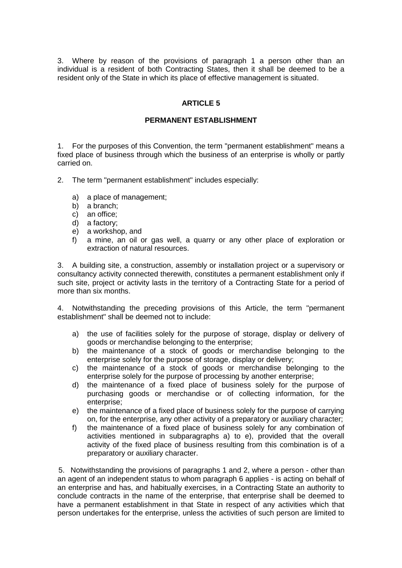3. Where by reason of the provisions of paragraph 1 a person other than an individual is a resident of both Contracting States, then it shall be deemed to be a resident only of the State in which its place of effective management is situated.

# **ARTICLE 5**

### **PERMANENT ESTABLISHMENT**

1. For the purposes of this Convention, the term "permanent establishment" means a fixed place of business through which the business of an enterprise is wholly or partly carried on.

2. The term "permanent establishment" includes especially:

- a) a place of management;
- b) a branch;
- c) an office;
- d) a factory;
- e) a workshop, and
- f) a mine, an oil or gas well, a quarry or any other place of exploration or extraction of natural resources.

3. A building site, a construction, assembly or installation project or a supervisory or consultancy activity connected therewith, constitutes a permanent establishment only if such site, project or activity lasts in the territory of a Contracting State for a period of more than six months.

4. Notwithstanding the preceding provisions of this Article, the term "permanent establishment" shall be deemed not to include:

- a) the use of facilities solely for the purpose of storage, display or delivery of goods or merchandise belonging to the enterprise;
- b) the maintenance of a stock of goods or merchandise belonging to the enterprise solely for the purpose of storage, display or delivery;
- c) the maintenance of a stock of goods or merchandise belonging to the enterprise solely for the purpose of processing by another enterprise;
- d) the maintenance of a fixed place of business solely for the purpose of purchasing goods or merchandise or of collecting information, for the enterprise;
- e) the maintenance of a fixed place of business solely for the purpose of carrying on, for the enterprise, any other activity of a preparatory or auxiliary character;
- f) the maintenance of a fixed place of business solely for any combination of activities mentioned in subparagraphs a) to e), provided that the overall activity of the fixed place of business resulting from this combination is of a preparatory or auxiliary character.

5. Notwithstanding the provisions of paragraphs 1 and 2, where a person - other than an agent of an independent status to whom paragraph 6 applies - is acting on behalf of an enterprise and has, and habitually exercises, in a Contracting State an authority to conclude contracts in the name of the enterprise, that enterprise shall be deemed to have a permanent establishment in that State in respect of any activities which that person undertakes for the enterprise, unless the activities of such person are limited to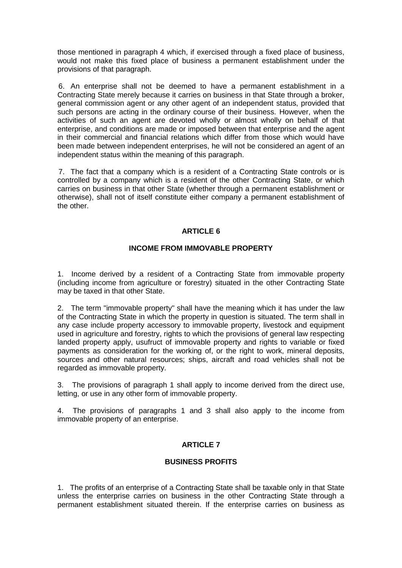those mentioned in paragraph 4 which, if exercised through a fixed place of business, would not make this fixed place of business a permanent establishment under the provisions of that paragraph.

6. An enterprise shall not be deemed to have a permanent establishment in a Contracting State merely because it carries on business in that State through a broker, general commission agent or any other agent of an independent status, provided that such persons are acting in the ordinary course of their business. However, when the activities of such an agent are devoted wholly or almost wholly on behalf of that enterprise, and conditions are made or imposed between that enterprise and the agent in their commercial and financial relations which differ from those which would have been made between independent enterprises, he will not be considered an agent of an independent status within the meaning of this paragraph.

7. The fact that a company which is a resident of a Contracting State controls or is controlled by a company which is a resident of the other Contracting State, or which carries on business in that other State (whether through a permanent establishment or otherwise), shall not of itself constitute either company a permanent establishment of the other.

# **ARTICLE 6**

# **INCOME FROM IMMOVABLE PROPERTY**

1. Income derived by a resident of a Contracting State from immovable property (including income from agriculture or forestry) situated in the other Contracting State may be taxed in that other State.

2. The term "immovable property" shall have the meaning which it has under the law of the Contracting State in which the property in question is situated. The term shall in any case include property accessory to immovable property, livestock and equipment used in agriculture and forestry, rights to which the provisions of general law respecting landed property apply, usufruct of immovable property and rights to variable or fixed payments as consideration for the working of, or the right to work, mineral deposits, sources and other natural resources; ships, aircraft and road vehicles shall not be regarded as immovable property.

3. The provisions of paragraph 1 shall apply to income derived from the direct use, letting, or use in any other form of immovable property.

4. The provisions of paragraphs 1 and 3 shall also apply to the income from immovable property of an enterprise.

# **ARTICLE 7**

# **BUSINESS PROFITS**

1. The profits of an enterprise of a Contracting State shall be taxable only in that State unless the enterprise carries on business in the other Contracting State through a permanent establishment situated therein. If the enterprise carries on business as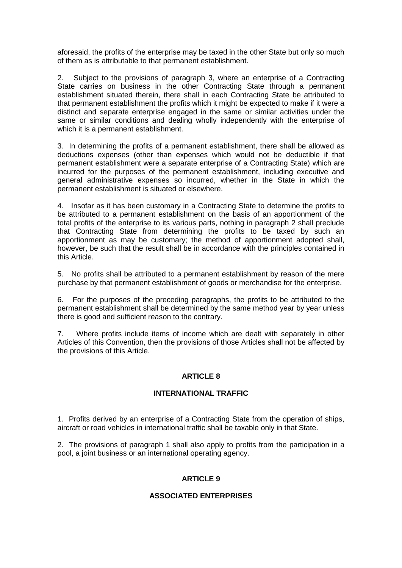aforesaid, the profits of the enterprise may be taxed in the other State but only so much of them as is attributable to that permanent establishment.

2. Subject to the provisions of paragraph 3, where an enterprise of a Contracting State carries on business in the other Contracting State through a permanent establishment situated therein, there shall in each Contracting State be attributed to that permanent establishment the profits which it might be expected to make if it were a distinct and separate enterprise engaged in the same or similar activities under the same or similar conditions and dealing wholly independently with the enterprise of which it is a permanent establishment.

3. In determining the profits of a permanent establishment, there shall be allowed as deductions expenses (other than expenses which would not be deductible if that permanent establishment were a separate enterprise of a Contracting State) which are incurred for the purposes of the permanent establishment, including executive and general administrative expenses so incurred, whether in the State in which the permanent establishment is situated or elsewhere.

4. Insofar as it has been customary in a Contracting State to determine the profits to be attributed to a permanent establishment on the basis of an apportionment of the total profits of the enterprise to its various parts, nothing in paragraph 2 shall preclude that Contracting State from determining the profits to be taxed by such an apportionment as may be customary; the method of apportionment adopted shall, however, be such that the result shall be in accordance with the principles contained in this Article.

5. No profits shall be attributed to a permanent establishment by reason of the mere purchase by that permanent establishment of goods or merchandise for the enterprise.

6. For the purposes of the preceding paragraphs, the profits to be attributed to the permanent establishment shall be determined by the same method year by year unless there is good and sufficient reason to the contrary.

7. Where profits include items of income which are dealt with separately in other Articles of this Convention, then the provisions of those Articles shall not be affected by the provisions of this Article.

# **ARTICLE 8**

# **INTERNATIONAL TRAFFIC**

1. Profits derived by an enterprise of a Contracting State from the operation of ships, aircraft or road vehicles in international traffic shall be taxable only in that State.

2. The provisions of paragraph 1 shall also apply to profits from the participation in a pool, a joint business or an international operating agency.

# **ARTICLE 9**

# **ASSOCIATED ENTERPRISES**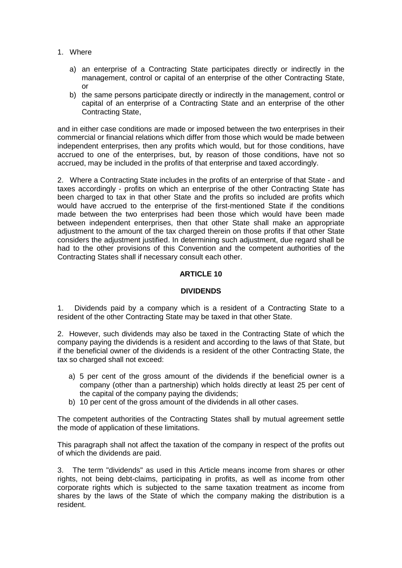- 1. Where
	- a) an enterprise of a Contracting State participates directly or indirectly in the management, control or capital of an enterprise of the other Contracting State, or
	- b) the same persons participate directly or indirectly in the management, control or capital of an enterprise of a Contracting State and an enterprise of the other Contracting State,

and in either case conditions are made or imposed between the two enterprises in their commercial or financial relations which differ from those which would be made between independent enterprises, then any profits which would, but for those conditions, have accrued to one of the enterprises, but, by reason of those conditions, have not so accrued, may be included in the profits of that enterprise and taxed accordingly.

2. Where a Contracting State includes in the profits of an enterprise of that State - and taxes accordingly - profits on which an enterprise of the other Contracting State has been charged to tax in that other State and the profits so included are profits which would have accrued to the enterprise of the first-mentioned State if the conditions made between the two enterprises had been those which would have been made between independent enterprises, then that other State shall make an appropriate adjustment to the amount of the tax charged therein on those profits if that other State considers the adjustment justified. In determining such adjustment, due regard shall be had to the other provisions of this Convention and the competent authorities of the Contracting States shall if necessary consult each other.

# **ARTICLE 10**

# **DIVIDENDS**

1. Dividends paid by a company which is a resident of a Contracting State to a resident of the other Contracting State may be taxed in that other State.

2. However, such dividends may also be taxed in the Contracting State of which the company paying the dividends is a resident and according to the laws of that State, but if the beneficial owner of the dividends is a resident of the other Contracting State, the tax so charged shall not exceed:

- a) 5 per cent of the gross amount of the dividends if the beneficial owner is a company (other than a partnership) which holds directly at least 25 per cent of the capital of the company paying the dividends;
- b) 10 per cent of the gross amount of the dividends in all other cases.

The competent authorities of the Contracting States shall by mutual agreement settle the mode of application of these limitations.

This paragraph shall not affect the taxation of the company in respect of the profits out of which the dividends are paid.

3. The term "dividends" as used in this Article means income from shares or other rights, not being debt-claims, participating in profits, as well as income from other corporate rights which is subjected to the same taxation treatment as income from shares by the laws of the State of which the company making the distribution is a resident.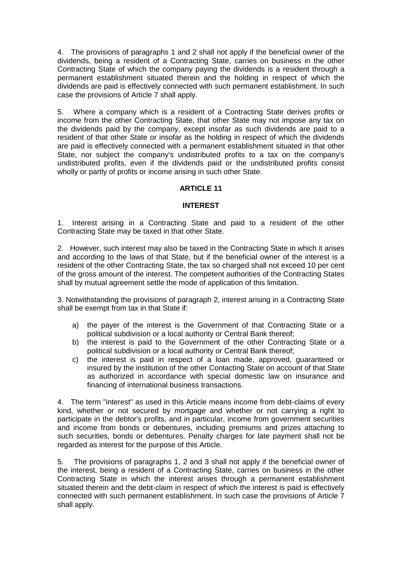4. The provisions of paragraphs 1 and 2 shall not apply if the beneficial owner of the dividends, being a resident of a Contracting State, carries on business in the other Contracting State of which the company paying the dividends is a resident through a permanent establishment situated therein and the holding in respect of which the dividends are paid is effectively connected with such permanent establishment. In such case the provisions of Article 7 shall apply.

5. Where a company which is a resident of a Contracting State derives profits or income from the other Contracting State, that other State may not impose any tax on the dividends paid by the company, except insofar as such dividends are paid to a resident of that other State or insofar as the holding in respect of which the dividends are paid is effectively connected with a permanent establishment situated in that other State, nor subject the company's undistributed profits to a tax on the company's undistributed profits, even if the dividends paid or the undistributed profits consist wholly or partly of profits or income arising in such other State.

# **ARTICLE 11**

# **INTEREST**

1. Interest arising in a Contracting State and paid to a resident of the other Contracting State may be taxed in that other State.

2. However, such interest may also be taxed in the Contracting State in which it arises and according to the laws of that State, but if the beneficial owner of the interest is a resident of the other Contracting State, the tax so charged shall not exceed 10 per cent of the gross amount of the interest. The competent authorities of the Contracting States shall by mutual agreement settle the mode of application of this limitation.

3. Notwithstanding the provisions of paragraph 2, interest arising in a Contracting State shall be exempt from tax in that State if:

- a) the payer of the interest is the Government of that Contracting State or a political subdivision or a local authority or Central Bank thereof;
- b) the interest is paid to the Government of the other Contracting State or a political subdivision or a local authority or Central Bank thereof;
- c) the interest is paid in respect of a loan made, approved, guaranteed or insured by the institution of the other Contacting State on account of that State as authorized in accordance with special domestic law on insurance and financing of international business transactions.

4. The term "interest" as used in this Article means income from debt-claims of every kind, whether or not secured by mortgage and whether or not carrying a right to participate in the debtor's profits, and in particular, income from government securities and income from bonds or debentures, including premiums and prizes attaching to such securities, bonds or debentures. Penalty charges for late payment shall not be regarded as interest for the purpose of this Article.

5. The provisions of paragraphs 1, 2 and 3 shall not apply if the beneficial owner of the interest, being a resident of a Contracting State, carries on business in the other Contracting State in which the interest arises through a permanent establishment situated therein and the debt-claim in respect of which the interest is paid is effectively connected with such permanent establishment. In such case the provisions of Article 7 shall apply.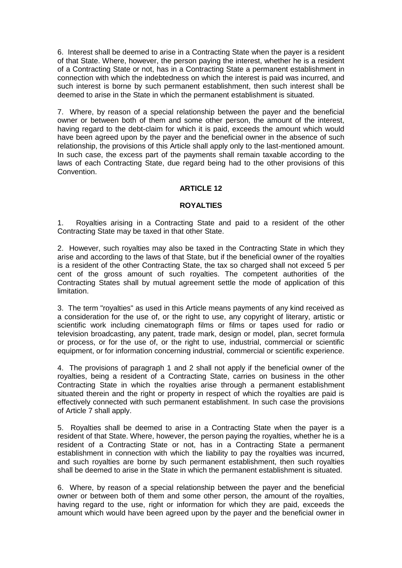6. Interest shall be deemed to arise in a Contracting State when the payer is a resident of that State. Where, however, the person paying the interest, whether he is a resident of a Contracting State or not, has in a Contracting State a permanent establishment in connection with which the indebtedness on which the interest is paid was incurred, and such interest is borne by such permanent establishment, then such interest shall be deemed to arise in the State in which the permanent establishment is situated.

7. Where, by reason of a special relationship between the payer and the beneficial owner or between both of them and some other person, the amount of the interest, having regard to the debt-claim for which it is paid, exceeds the amount which would have been agreed upon by the payer and the beneficial owner in the absence of such relationship, the provisions of this Article shall apply only to the last-mentioned amount. In such case, the excess part of the payments shall remain taxable according to the laws of each Contracting State, due regard being had to the other provisions of this Convention.

# **ARTICLE 12**

## **ROYALTIES**

1. Royalties arising in a Contracting State and paid to a resident of the other Contracting State may be taxed in that other State.

2. However, such royalties may also be taxed in the Contracting State in which they arise and according to the laws of that State, but if the beneficial owner of the royalties is a resident of the other Contracting State, the tax so charged shall not exceed 5 per cent of the gross amount of such royalties. The competent authorities of the Contracting States shall by mutual agreement settle the mode of application of this limitation.

3. The term "royalties" as used in this Article means payments of any kind received as a consideration for the use of, or the right to use, any copyright of literary, artistic or scientific work including cinematograph films or films or tapes used for radio or television broadcasting, any patent, trade mark, design or model, plan, secret formula or process, or for the use of, or the right to use, industrial, commercial or scientific equipment, or for information concerning industrial, commercial or scientific experience.

4. The provisions of paragraph 1 and 2 shall not apply if the beneficial owner of the royalties, being a resident of a Contracting State, carries on business in the other Contracting State in which the royalties arise through a permanent establishment situated therein and the right or property in respect of which the royalties are paid is effectively connected with such permanent establishment. In such case the provisions of Article 7 shall apply.

5. Royalties shall be deemed to arise in a Contracting State when the payer is a resident of that State. Where, however, the person paying the royalties, whether he is a resident of a Contracting State or not, has in a Contracting State a permanent establishment in connection with which the liability to pay the royalties was incurred, and such royalties are borne by such permanent establishment, then such royalties shall be deemed to arise in the State in which the permanent establishment is situated.

6. Where, by reason of a special relationship between the payer and the beneficial owner or between both of them and some other person, the amount of the royalties, having regard to the use, right or information for which they are paid, exceeds the amount which would have been agreed upon by the payer and the beneficial owner in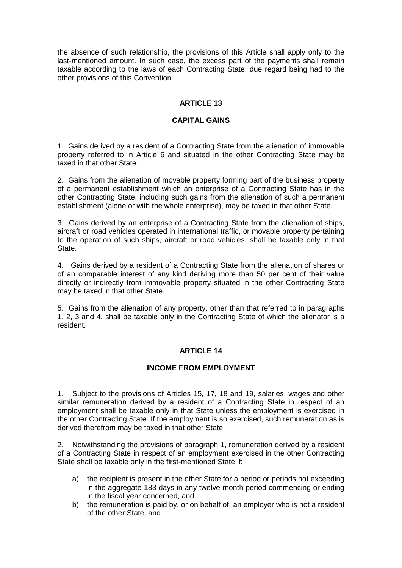the absence of such relationship, the provisions of this Article shall apply only to the last-mentioned amount. In such case, the excess part of the payments shall remain taxable according to the laws of each Contracting State, due regard being had to the other provisions of this Convention.

# **ARTICLE 13**

# **CAPITAL GAINS**

1. Gains derived by a resident of a Contracting State from the alienation of immovable property referred to in Article 6 and situated in the other Contracting State may be taxed in that other State.

2. Gains from the alienation of movable property forming part of the business property of a permanent establishment which an enterprise of a Contracting State has in the other Contracting State, including such gains from the alienation of such a permanent establishment (alone or with the whole enterprise), may be taxed in that other State.

3. Gains derived by an enterprise of a Contracting State from the alienation of ships, aircraft or road vehicles operated in international traffic, or movable property pertaining to the operation of such ships, aircraft or road vehicles, shall be taxable only in that State.

4. Gains derived by a resident of a Contracting State from the alienation of shares or of an comparable interest of any kind deriving more than 50 per cent of their value directly or indirectly from immovable property situated in the other Contracting State may be taxed in that other State.

5. Gains from the alienation of any property, other than that referred to in paragraphs 1, 2, 3 and 4, shall be taxable only in the Contracting State of which the alienator is a resident.

# **ARTICLE 14**

#### **INCOME FROM EMPLOYMENT**

1. Subject to the provisions of Articles 15, 17, 18 and 19, salaries, wages and other similar remuneration derived by a resident of a Contracting State in respect of an employment shall be taxable only in that State unless the employment is exercised in the other Contracting State. If the employment is so exercised, such remuneration as is derived therefrom may be taxed in that other State.

2. Notwithstanding the provisions of paragraph 1, remuneration derived by a resident of a Contracting State in respect of an employment exercised in the other Contracting State shall be taxable only in the first-mentioned State if:

- a) the recipient is present in the other State for a period or periods not exceeding in the aggregate 183 days in any twelve month period commencing or ending in the fiscal year concerned, and
- b) the remuneration is paid by, or on behalf of, an employer who is not a resident of the other State, and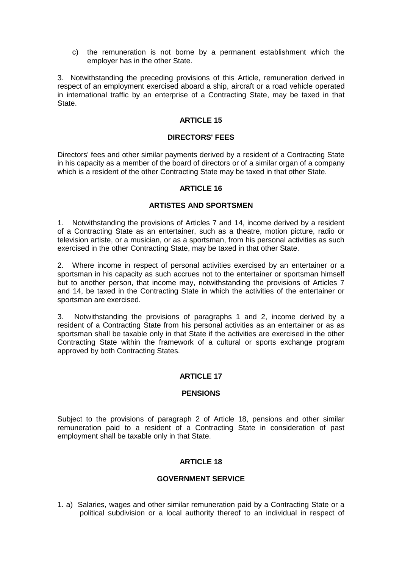c) the remuneration is not borne by a permanent establishment which the employer has in the other State.

3. Notwithstanding the preceding provisions of this Article, remuneration derived in respect of an employment exercised aboard a ship, aircraft or a road vehicle operated in international traffic by an enterprise of a Contracting State, may be taxed in that State.

### **ARTICLE 15**

### **DIRECTORS' FEES**

Directors' fees and other similar payments derived by a resident of a Contracting State in his capacity as a member of the board of directors or of a similar organ of a company which is a resident of the other Contracting State may be taxed in that other State.

#### **ARTICLE 16**

#### **ARTISTES AND SPORTSMEN**

1. Notwithstanding the provisions of Articles 7 and 14, income derived by a resident of a Contracting State as an entertainer, such as a theatre, motion picture, radio or television artiste, or a musician, or as a sportsman, from his personal activities as such exercised in the other Contracting State, may be taxed in that other State.

2. Where income in respect of personal activities exercised by an entertainer or a sportsman in his capacity as such accrues not to the entertainer or sportsman himself but to another person, that income may, notwithstanding the provisions of Articles 7 and 14, be taxed in the Contracting State in which the activities of the entertainer or sportsman are exercised.

3. Notwithstanding the provisions of paragraphs 1 and 2, income derived by a resident of a Contracting State from his personal activities as an entertainer or as as sportsman shall be taxable only in that State if the activities are exercised in the other Contracting State within the framework of a cultural or sports exchange program approved by both Contracting States.

#### **ARTICLE 17**

#### **PENSIONS**

Subject to the provisions of paragraph 2 of Article 18, pensions and other similar remuneration paid to a resident of a Contracting State in consideration of past employment shall be taxable only in that State.

### **ARTICLE 18**

### **GOVERNMENT SERVICE**

1. a) Salaries, wages and other similar remuneration paid by a Contracting State or a political subdivision or a local authority thereof to an individual in respect of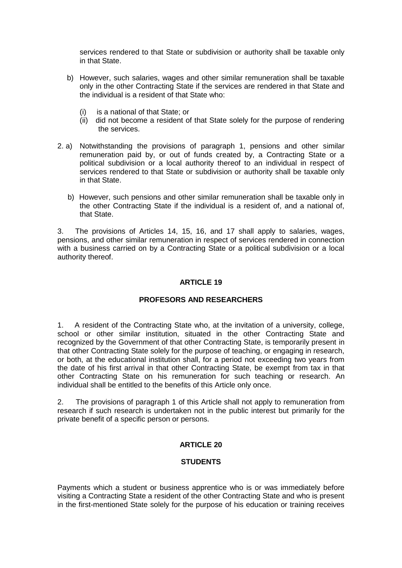services rendered to that State or subdivision or authority shall be taxable only in that State.

- b) However, such salaries, wages and other similar remuneration shall be taxable only in the other Contracting State if the services are rendered in that State and the individual is a resident of that State who:
	- (i) is a national of that State; or
	- (ii) did not become a resident of that State solely for the purpose of rendering the services.
- 2. a) Notwithstanding the provisions of paragraph 1, pensions and other similar remuneration paid by, or out of funds created by, a Contracting State or a political subdivision or a local authority thereof to an individual in respect of services rendered to that State or subdivision or authority shall be taxable only in that State.
	- b) However, such pensions and other similar remuneration shall be taxable only in the other Contracting State if the individual is a resident of, and a national of, that State.

3. The provisions of Articles 14, 15, 16, and 17 shall apply to salaries, wages, pensions, and other similar remuneration in respect of services rendered in connection with a business carried on by a Contracting State or a political subdivision or a local authority thereof.

### **ARTICLE 19**

#### **PROFESORS AND RESEARCHERS**

1. A resident of the Contracting State who, at the invitation of a university, college, school or other similar institution, situated in the other Contracting State and recognized by the Government of that other Contracting State, is temporarily present in that other Contracting State solely for the purpose of teaching, or engaging in research, or both, at the educational institution shall, for a period not exceeding two years from the date of his first arrival in that other Contracting State, be exempt from tax in that other Contracting State on his remuneration for such teaching or research. An individual shall be entitled to the benefits of this Article only once.

2. The provisions of paragraph 1 of this Article shall not apply to remuneration from research if such research is undertaken not in the public interest but primarily for the private benefit of a specific person or persons.

# **ARTICLE 20**

#### **STUDENTS**

Payments which a student or business apprentice who is or was immediately before visiting a Contracting State a resident of the other Contracting State and who is present in the first-mentioned State solely for the purpose of his education or training receives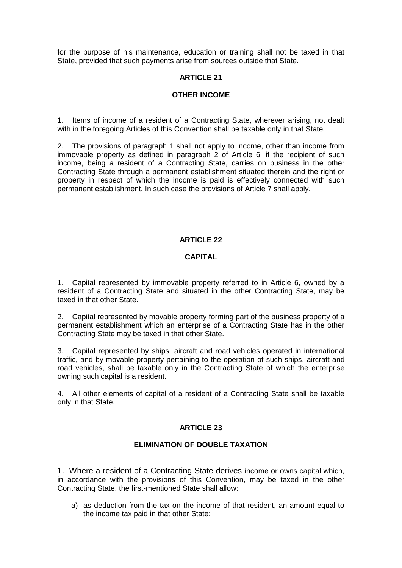for the purpose of his maintenance, education or training shall not be taxed in that State, provided that such payments arise from sources outside that State.

# **ARTICLE 21**

# **OTHER INCOME**

1. Items of income of a resident of a Contracting State, wherever arising, not dealt with in the foregoing Articles of this Convention shall be taxable only in that State.

2. The provisions of paragraph 1 shall not apply to income, other than income from immovable property as defined in paragraph 2 of Article 6, if the recipient of such income, being a resident of a Contracting State, carries on business in the other Contracting State through a permanent establishment situated therein and the right or property in respect of which the income is paid is effectively connected with such permanent establishment. In such case the provisions of Article 7 shall apply.

# **ARTICLE 22**

# **CAPITAL**

1. Capital represented by immovable property referred to in Article 6, owned by a resident of a Contracting State and situated in the other Contracting State, may be taxed in that other State.

2. Capital represented by movable property forming part of the business property of a permanent establishment which an enterprise of a Contracting State has in the other Contracting State may be taxed in that other State.

3. Capital represented by ships, aircraft and road vehicles operated in international traffic, and by movable property pertaining to the operation of such ships, aircraft and road vehicles, shall be taxable only in the Contracting State of which the enterprise owning such capital is a resident.

4. All other elements of capital of a resident of a Contracting State shall be taxable only in that State.

# **ARTICLE 23**

# **ELIMINATION OF DOUBLE TAXATION**

1. Where a resident of a Contracting State derives income or owns capital which, in accordance with the provisions of this Convention, may be taxed in the other Contracting State, the first-mentioned State shall allow:

a) as deduction from the tax on the income of that resident, an amount equal to the income tax paid in that other State;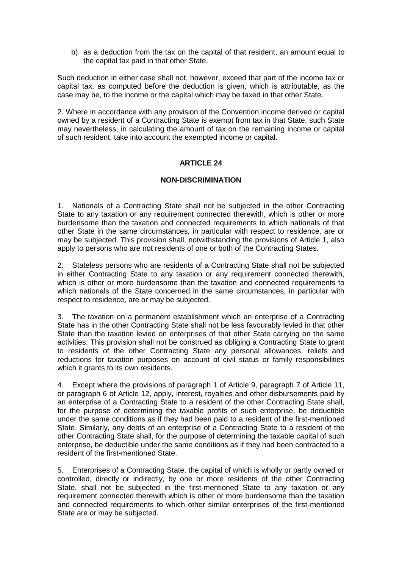b) as a deduction from the tax on the capital of that resident, an amount equal to the capital tax paid in that other State.

Such deduction in either case shall not, however, exceed that part of the income tax or capital tax, as computed before the deduction is given, which is attributable, as the case may be, to the income or the capital which may be taxed in that other State.

2. Where in accordance with any provision of the Convention income derived or capital owned by a resident of a Contracting State is exempt from tax in that State, such State may nevertheless, in calculating the amount of tax on the remaining income or capital of such resident, take into account the exempted income or capital.

# **ARTICLE 24**

# **NON-DISCRIMINATION**

1. Nationals of a Contracting State shall not be subjected in the other Contracting State to any taxation or any requirement connected therewith, which is other or more burdensome than the taxation and connected requirements to which nationals of that other State in the same circumstances, in particular with respect to residence, are or may be subjected. This provision shall, notwithstanding the provisions of Article 1, also apply to persons who are not residents of one or both of the Contracting States.

2. Stateless persons who are residents of a Contracting State shall not be subjected in either Contracting State to any taxation or any requirement connected therewith, which is other or more burdensome than the taxation and connected requirements to which nationals of the State concerned in the same circumstances, in particular with respect to residence, are or may be subjected.

3. The taxation on a permanent establishment which an enterprise of a Contracting State has in the other Contracting State shall not be less favourably levied in that other State than the taxation levied on enterprises of that other State carrying on the same activities. This provision shall not be construed as obliging a Contracting State to grant to residents of the other Contracting State any personal allowances, reliefs and reductions for taxation purposes on account of civil status or family responsibilities which it grants to its own residents.

4. Except where the provisions of paragraph 1 of Article 9, paragraph 7 of Article 11, or paragraph 6 of Article 12, apply, interest, royalties and other disbursements paid by an enterprise of a Contracting State to a resident of the other Contracting State shall, for the purpose of determining the taxable profits of such enterprise, be deductible under the same conditions as if they had been paid to a resident of the first-mentioned State. Similarly, any debts of an enterprise of a Contracting State to a resident of the other Contracting State shall, for the purpose of determining the taxable capital of such enterprise, be deductible under the same conditions as if they had been contracted to a resident of the first-mentioned State.

5. Enterprises of a Contracting State, the capital of which is wholly or partly owned or controlled, directly or indirectly, by one or more residents of the other Contracting State, shall not be subjected in the first-mentioned State to any taxation or any requirement connected therewith which is other or more burdensome than the taxation and connected requirements to which other similar enterprises of the first-mentioned State are or may be subjected.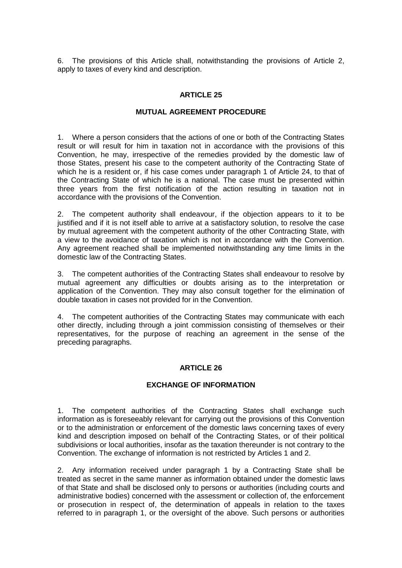6. The provisions of this Article shall, notwithstanding the provisions of Article 2, apply to taxes of every kind and description.

# **ARTICLE 25**

#### **MUTUAL AGREEMENT PROCEDURE**

1. Where a person considers that the actions of one or both of the Contracting States result or will result for him in taxation not in accordance with the provisions of this Convention, he may, irrespective of the remedies provided by the domestic law of those States, present his case to the competent authority of the Contracting State of which he is a resident or, if his case comes under paragraph 1 of Article 24, to that of the Contracting State of which he is a national. The case must be presented within three years from the first notification of the action resulting in taxation not in accordance with the provisions of the Convention.

2. The competent authority shall endeavour, if the objection appears to it to be justified and if it is not itself able to arrive at a satisfactory solution, to resolve the case by mutual agreement with the competent authority of the other Contracting State, with a view to the avoidance of taxation which is not in accordance with the Convention. Any agreement reached shall be implemented notwithstanding any time limits in the domestic law of the Contracting States.

3. The competent authorities of the Contracting States shall endeavour to resolve by mutual agreement any difficulties or doubts arising as to the interpretation or application of the Convention. They may also consult together for the elimination of double taxation in cases not provided for in the Convention.

4. The competent authorities of the Contracting States may communicate with each other directly, including through a joint commission consisting of themselves or their representatives, for the purpose of reaching an agreement in the sense of the preceding paragraphs.

# **ARTICLE 26**

# **EXCHANGE OF INFORMATION**

1. The competent authorities of the Contracting States shall exchange such information as is foreseeably relevant for carrying out the provisions of this Convention or to the administration or enforcement of the domestic laws concerning taxes of every kind and description imposed on behalf of the Contracting States, or of their political subdivisions or local authorities, insofar as the taxation thereunder is not contrary to the Convention. The exchange of information is not restricted by Articles 1 and 2.

2. Any information received under paragraph 1 by a Contracting State shall be treated as secret in the same manner as information obtained under the domestic laws of that State and shall be disclosed only to persons or authorities (including courts and administrative bodies) concerned with the assessment or collection of, the enforcement or prosecution in respect of, the determination of appeals in relation to the taxes referred to in paragraph 1, or the oversight of the above. Such persons or authorities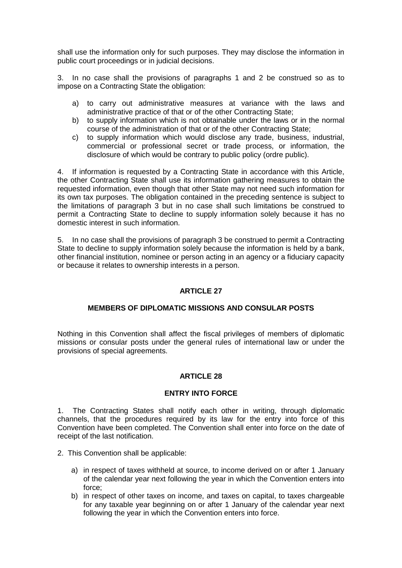shall use the information only for such purposes. They may disclose the information in public court proceedings or in judicial decisions.

3. In no case shall the provisions of paragraphs 1 and 2 be construed so as to impose on a Contracting State the obligation:

- a) to carry out administrative measures at variance with the laws and administrative practice of that or of the other Contracting State;
- b) to supply information which is not obtainable under the laws or in the normal course of the administration of that or of the other Contracting State;
- c) to supply information which would disclose any trade, business, industrial, commercial or professional secret or trade process, or information, the disclosure of which would be contrary to public policy (ordre public).

4. If information is requested by a Contracting State in accordance with this Article, the other Contracting State shall use its information gathering measures to obtain the requested information, even though that other State may not need such information for its own tax purposes. The obligation contained in the preceding sentence is subject to the limitations of paragraph 3 but in no case shall such limitations be construed to permit a Contracting State to decline to supply information solely because it has no domestic interest in such information.

5. In no case shall the provisions of paragraph 3 be construed to permit a Contracting State to decline to supply information solely because the information is held by a bank, other financial institution, nominee or person acting in an agency or a fiduciary capacity or because it relates to ownership interests in a person.

# **ARTICLE 27**

# **MEMBERS OF DIPLOMATIC MISSIONS AND CONSULAR POSTS**

Nothing in this Convention shall affect the fiscal privileges of members of diplomatic missions or consular posts under the general rules of international law or under the provisions of special agreements.

# **ARTICLE 28**

# **ENTRY INTO FORCE**

1. The Contracting States shall notify each other in writing, through diplomatic channels, that the procedures required by its law for the entry into force of this Convention have been completed. The Convention shall enter into force on the date of receipt of the last notification.

2. This Convention shall be applicable:

- a) in respect of taxes withheld at source, to income derived on or after 1 January of the calendar year next following the year in which the Convention enters into force;
- b) in respect of other taxes on income, and taxes on capital, to taxes chargeable for any taxable year beginning on or after 1 January of the calendar year next following the year in which the Convention enters into force.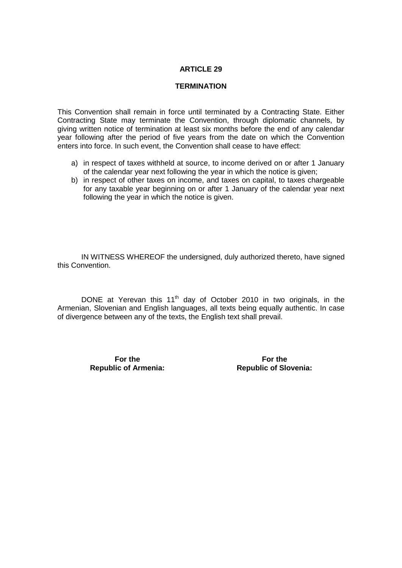#### **ARTICLE 29**

# **TERMINATION**

This Convention shall remain in force until terminated by a Contracting State. Either Contracting State may terminate the Convention, through diplomatic channels, by giving written notice of termination at least six months before the end of any calendar year following after the period of five years from the date on which the Convention enters into force. In such event, the Convention shall cease to have effect:

- a) in respect of taxes withheld at source, to income derived on or after 1 January of the calendar year next following the year in which the notice is given;
- b) in respect of other taxes on income, and taxes on capital, to taxes chargeable for any taxable year beginning on or after 1 January of the calendar year next following the year in which the notice is given.

IN WITNESS WHEREOF the undersigned, duly authorized thereto, have signed this Convention.

DONE at Yerevan this  $11<sup>th</sup>$  day of October 2010 in two originals, in the Armenian, Slovenian and English languages, all texts being equally authentic. In case of divergence between any of the texts, the English text shall prevail.

> **For the Republic of Armenia:**

**For the Republic of Slovenia:**